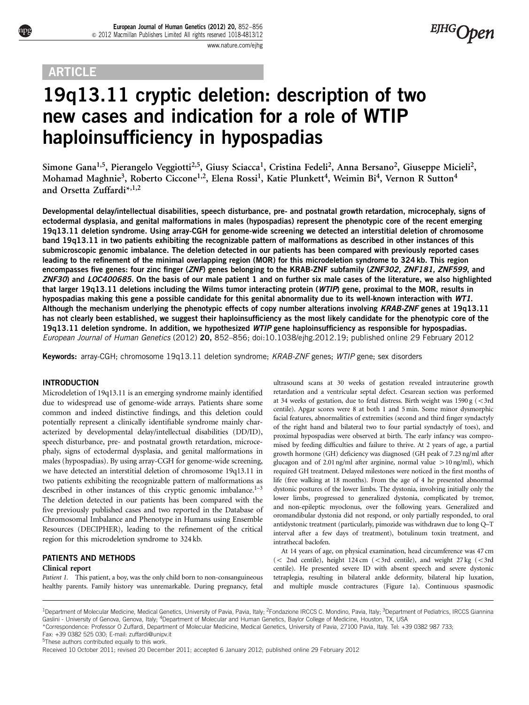# **ARTICLE**

# 19q13.11 cryptic deletion: description of two new cases and indication for a role of WTIP haploinsufficiency in hypospadias

Simone Gana<sup>1,5</sup>, Pierangelo Veggiotti<sup>2,5</sup>, Giusy Sciacca<sup>1</sup>, Cristina Fedeli<sup>2</sup>, Anna Bersano<sup>2</sup>, Giuseppe Micieli<sup>2</sup>, Mohamad Maghnie<sup>3</sup>, Roberto Ciccone<sup>1,2</sup>, Elena Rossi<sup>1</sup>, Katie Plunkett<sup>4</sup>, Weimin Bi<sup>4</sup>, Vernon R Sutton<sup>4</sup> and Orsetta Zuffardi\*,1,2

Developmental delay/intellectual disabilities, speech disturbance, pre- and postnatal growth retardation, microcephaly, signs of ectodermal dysplasia, and genital malformations in males (hypospadias) represent the phenotypic core of the recent emerging 19q13.11 deletion syndrome. Using array-CGH for genome-wide screening we detected an interstitial deletion of chromosome band 19q13.11 in two patients exhibiting the recognizable pattern of malformations as described in other instances of this submicroscopic genomic imbalance. The deletion detected in our patients has been compared with previously reported cases leading to the refinement of the minimal overlapping region (MOR) for this microdeletion syndrome to 324 kb. This region encompasses five genes: four zinc finger (ZNF) genes belonging to the KRAB-ZNF subfamily (ZNF302, ZNF181, ZNF599, and ZNF30) and LOC400685. On the basis of our male patient 1 and on further six male cases of the literature, we also highlighted that larger 19q13.11 deletions including the Wilms tumor interacting protein (WTIP) gene, proximal to the MOR, results in hypospadias making this gene a possible candidate for this genital abnormality due to its well-known interaction with WT1. Although the mechanism underlying the phenotypic effects of copy number alterations involving KRAB-ZNF genes at 19q13.11 has not clearly been established, we suggest their haploinsufficiency as the most likely candidate for the phenotypic core of the 19q13.11 deletion syndrome. In addition, we hypothesized WTIP gene haploinsufficiency as responsible for hypospadias. European Journal of Human Genetics (2012) 20, 852–856; doi[:10.1038/ejhg.2012.19;](http://dx.doi.org/10.1038/ejhg.2012.19) published online 29 February 2012

Keywords: array-CGH; chromosome 19q13.11 deletion syndrome; KRAB-ZNF genes; WTIP gene; sex disorders

# INTRODUCTION

Microdeletion of 19q13.11 is an emerging syndrome mainly identified due to widespread use of genome-wide arrays. Patients share some common and indeed distinctive findings, and this deletion could potentially represent a clinically identifiable syndrome mainly characterized by developmental delay/intellectual disabilities (DD/ID), speech disturbance, pre- and postnatal growth retardation, microcephaly, signs of ectodermal dysplasia, and genital malformations in males (hypospadias). By using array-CGH for genome-wide screening, we have detected an interstitial deletion of chromosome 19q13.11 in two patients exhibiting the recognizable pattern of malformations as described in other instances of this cryptic genomic imbalance.<sup>1-3</sup> The deletion detected in our patients has been compared with the five previously published cases and two reported in the Database of Chromosomal Imbalance and Phenotype in Humans using Ensemble Resources (DECIPHER), leading to the refinement of the critical region for this microdeletion syndrome to 324 kb.

# PATIENTS AND METHODS

# Clinical report

Patient 1. This patient, a boy, was the only child born to non-consanguineous healthy parents. Family history was unremarkable. During pregnancy, fetal ultrasound scans at 30 weeks of gestation revealed intrauterine growth retardation and a ventricular septal defect. Cesarean section was performed at 34 weeks of gestation, due to fetal distress. Birth weight was  $1590 \text{ g } (<3 \text{rd}$ centile). Apgar scores were 8 at both 1 and 5 min. Some minor dysmorphic facial features, abnormalities of extremities (second and third finger syndactyly of the right hand and bilateral two to four partial syndactyly of toes), and proximal hypospadias were observed at birth. The early infancy was compromised by feeding difficulties and failure to thrive. At 2 years of age, a partial growth hormone (GH) deficiency was diagnosed (GH peak of 7.23 ng/ml after glucagon and of 2.01 ng/ml after arginine, normal value  $>10$  ng/ml), which required GH treatment. Delayed milestones were noticed in the first months of life (free walking at 18 months). From the age of 4 he presented abnormal dystonic postures of the lower limbs. The dystonia, involving initially only the lower limbs, progressed to generalized dystonia, complicated by tremor, and non-epileptic myoclonus, over the following years. Generalized and oromandibular dystonia did not respond, or only partially responded, to oral antidystonic treatment (particularly, pimozide was withdrawn due to long Q–T interval after a few days of treatment), botulinum toxin treatment, and intrathecal baclofen.

At 14 years of age, on physical examination, head circumference was 47 cm  $(<$  2nd centile), height 124 cm  $(<$  3rd centile), and weight 27 kg  $(<$  3rd centile). He presented severe ID with absent speech and severe dystonic tetraplegia, resulting in bilateral ankle deformity, bilateral hip luxation, and multiple muscle contractures ([Figure 1a\)](#page-1-0). Continuous spasmodic

Fax: +39 0382 525 030; E-mail: [zuffardi@unipv.it](mailto:zuffardi@unipv.it) 5These authors contributed equally to this work.

<sup>&</sup>lt;sup>1</sup>Department of Molecular Medicine, Medical Genetics, University of Pavia, Pavia, Italy; <sup>2</sup>Fondazione IRCCS C. Mondino, Pavia, Italy; <sup>3</sup>Department of Pediatrics, IRCCS Giannina Gaslini - University of Genova, Genova, Italy; 4Department of Molecular and Human Genetics, Baylor College of Medicine, Houston, TX, USA

<sup>\*</sup>Correspondence: Professor O Zuffardi, Department of Molecular Medicine, Medical Genetics, University of Pavia, 27100 Pavia, Italy. Tel: +39 0382 987 733;

Received 10 October 2011; revised 20 December 2011; accepted 6 January 2012; published online 29 February 2012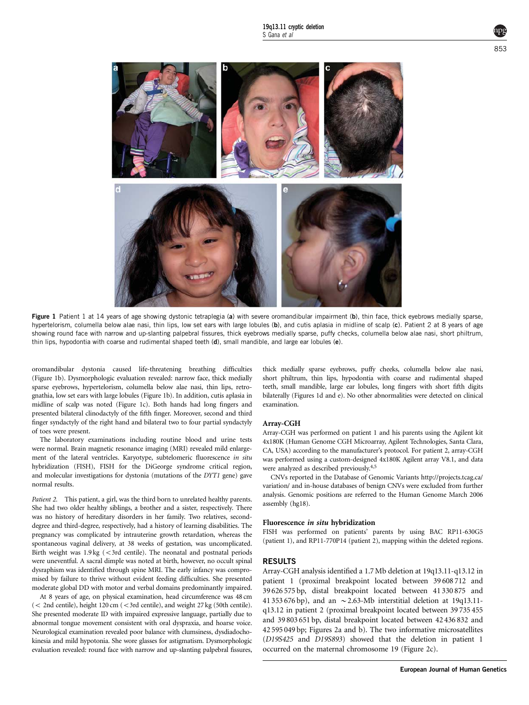<span id="page-1-0"></span>

Figure 1 Patient 1 at 14 years of age showing dystonic tetraplegia (a) with severe oromandibular impairment (b), thin face, thick eyebrows medially sparse, hypertelorism, columella below alae nasi, thin lips, low set ears with large lobules (b), and cutis aplasia in midline of scalp (c). Patient 2 at 8 years of age showing round face with narrow and up-slanting palpebral fissures, thick eyebrows medially sparse, puffy checks, columella below alae nasi, short philtrum, thin lips, hypodontia with coarse and rudimental shaped teeth (d), small mandible, and large ear lobules (e).

oromandibular dystonia caused life-threatening breathing difficulties (Figure 1b). Dysmorphologic evaluation revealed: narrow face, thick medially sparse eyebrows, hypertelorism, columella below alae nasi, thin lips, retrognathia, low set ears with large lobules (Figure 1b). In addition, cutis aplasia in midline of scalp was noted (Figure 1c). Both hands had long fingers and presented bilateral clinodactyly of the fifth finger. Moreover, second and third finger syndactyly of the right hand and bilateral two to four partial syndactyly of toes were present.

The laboratory examinations including routine blood and urine tests were normal. Brain magnetic resonance imaging (MRI) revealed mild enlargement of the lateral ventricles. Karyotype, subtelomeric fluorescence in situ hybridization (FISH), FISH for the DiGeorge syndrome critical region, and molecular investigations for dystonia (mutations of the DYT1 gene) gave normal results.

Patient 2. This patient, a girl, was the third born to unrelated healthy parents. She had two older healthy siblings, a brother and a sister, respectively. There was no history of hereditary disorders in her family. Two relatives, seconddegree and third-degree, respectively, had a history of learning disabilities. The pregnancy was complicated by intrauterine growth retardation, whereas the spontaneous vaginal delivery, at 38 weeks of gestation, was uncomplicated. Birth weight was  $1.9 \text{ kg}$  (<3rd centile). The neonatal and postnatal periods were uneventful. A sacral dimple was noted at birth, however, no occult spinal dysraphism was identified through spine MRI. The early infancy was compromised by failure to thrive without evident feeding difficulties. She presented moderate global DD with motor and verbal domains predominantly impaired.

At 8 years of age, on physical examination, head circumference was 48 cm  $(<$  2nd centile), height 120 cm  $(<$  3rd centile), and weight 27 kg (50th centile). She presented moderate ID with impaired expressive language, partially due to abnormal tongue movement consistent with oral dyspraxia, and hoarse voice. Neurological examination revealed poor balance with clumsiness, dysdiadochokinesia and mild hypotonia. She wore glasses for astigmatism. Dysmorphologic evaluation revealed: round face with narrow and up-slanting palpebral fissures, thick medially sparse eyebrows, puffy cheeks, columella below alae nasi, short philtrum, thin lips, hypodontia with coarse and rudimental shaped teeth, small mandible, large ear lobules, long fingers with short fifth digits bilaterally (Figures 1d and e). No other abnormalities were detected on clinical examination.

#### Array-CGH

Array-CGH was performed on patient 1 and his parents using the Agilent kit 4x180K (Human Genome CGH Microarray, Agilent Technologies, Santa Clara, CA, USA) according to the manufacturer's protocol. For patient 2, array-CGH was performed using a custom-designed 4x180K Agilent array V8.1, and data were analyzed as described previously[.4,5](#page-4-0)

CNVs reported in the Database of Genomic Variants [http://projects.tcag.ca/](http://projects.tcag.ca/variation/) [variation/](http://projects.tcag.ca/variation/) and in-house databases of benign CNVs were excluded from further analysis. Genomic positions are referred to the Human Genome March 2006 assembly (hg18).

#### Fluorescence in situ hybridization

FISH was performed on patients' parents by using BAC RP11-630G5 (patient 1), and RP11-770P14 (patient 2), mapping within the deleted regions.

#### RESULTS

Array-CGH analysis identified a 1.7 Mb deletion at 19q13.11-q13.12 in patient 1 (proximal breakpoint located between 39 608 712 and 39 626 575 bp, distal breakpoint located between 41 330 875 and 41 353 676 bp), and an  $\sim$  2.63-Mb interstitial deletion at 19q13.11q13.12 in patient 2 (proximal breakpoint located between 39 735 455 and 39 803 651 bp, distal breakpoint located between 42 436 832 and 42 595 049 bp; [Figures 2a and b](#page-2-0)). The two informative microsatellites (D19S425 and D19S893) showed that the deletion in patient 1 occurred on the maternal chromosome 19 ([Figure 2c\)](#page-2-0).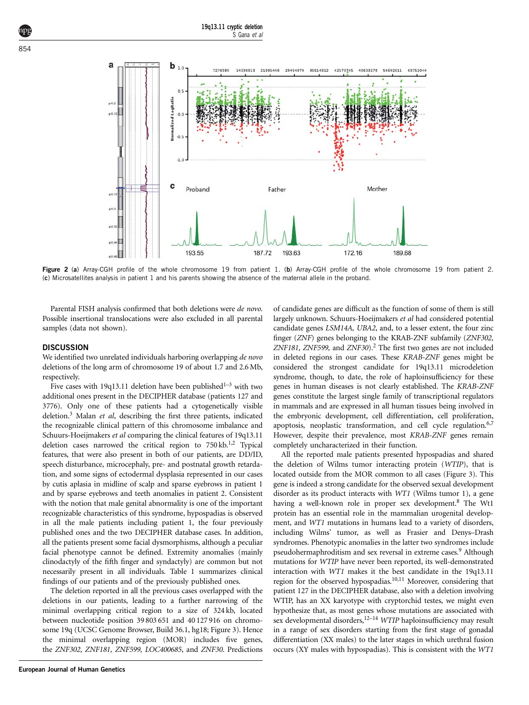19q13.11 cryptic deletion S Gana et al

<span id="page-2-0"></span>

Figure 2 (a) Array-CGH profile of the whole chromosome 19 from patient 1. (b) Array-CGH profile of the whole chromosome 19 from patient 2. (c) Microsatellites analysis in patient 1 and his parents showing the absence of the maternal allele in the proband.

Parental FISH analysis confirmed that both deletions were de novo. Possible insertional translocations were also excluded in all parental samples (data not shown).

#### **DISCUSSION**

We identified two unrelated individuals harboring overlapping de novo deletions of the long arm of chromosome 19 of about 1.7 and 2.6 Mb, respectively.

Five cases with 19q13.11 deletion have been published<sup>1-3</sup> with two additional ones present in the DECIPHER database (patients 127 and 3776). Only one of these patients had a cytogenetically visible deletion.<sup>3</sup> Malan et al, describing the first three patients, indicated the recognizable clinical pattern of this chromosome imbalance and Schuurs-Hoeijmakers et al comparing the clinical features of 19q13.11 deletion cases narrowed the critical region to 750 kb.<sup>[1,2](#page-4-0)</sup> Typical features, that were also present in both of our patients, are DD/ID, speech disturbance, microcephaly, pre- and postnatal growth retardation, and some signs of ectodermal dysplasia represented in our cases by cutis aplasia in midline of scalp and sparse eyebrows in patient 1 and by sparse eyebrows and teeth anomalies in patient 2. Consistent with the notion that male genital abnormality is one of the important recognizable characteristics of this syndrome, hypospadias is observed in all the male patients including patient 1, the four previously published ones and the two DECIPHER database cases. In addition, all the patients present some facial dysmorphisms, although a peculiar facial phenotype cannot be defined. Extremity anomalies (mainly clinodactyly of the fifth finger and syndactyly) are common but not necessarily present in all individuals. [Table 1](#page-3-0) summarizes clinical findings of our patients and of the previously published ones.

The deletion reported in all the previous cases overlapped with the deletions in our patients, leading to a further narrowing of the minimal overlapping critical region to a size of 324 kb, located between nucleotide position 39 803 651 and 40 127 916 on chromosome 19q (UCSC Genome Browser, Build 36.1, hg18; [Figure 3](#page-3-0)). Hence the minimal overlapping region (MOR) includes five genes, the ZNF302, ZNF181, ZNF599, LOC400685, and ZNF30. Predictions of candidate genes are difficult as the function of some of them is still largely unknown. Schuurs-Hoeijmakers et al had considered potential candidate genes LSM14A, UBA2, and, to a lesser extent, the four zinc finger (ZNF) genes belonging to the KRAB-ZNF subfamily (ZNF302, ZNF181, ZNF599, and ZNF30).<sup>2</sup> The first two genes are not included in deleted regions in our cases. These KRAB-ZNF genes might be considered the strongest candidate for 19q13.11 microdeletion syndrome, though, to date, the role of haploinsufficiency for these genes in human diseases is not clearly established. The KRAB-ZNF genes constitute the largest single family of transcriptional regulators in mammals and are expressed in all human tissues being involved in the embryonic development, cell differentiation, cell proliferation, apoptosis, neoplastic transformation, and cell cycle regulation.<sup>6,7</sup> However, despite their prevalence, most KRAB-ZNF genes remain completely uncharacterized in their function.

All the reported male patients presented hypospadias and shared the deletion of Wilms tumor interacting protein (WTIP), that is located outside from the MOR common to all cases ([Figure 3](#page-3-0)). This gene is indeed a strong candidate for the observed sexual development disorder as its product interacts with WT1 (Wilms tumor 1), a gene having a well-known role in proper sex development.<sup>8</sup> The Wt1 protein has an essential role in the mammalian urogenital development, and WT1 mutations in humans lead to a variety of disorders, including Wilms' tumor, as well as Frasier and Denys–Drash syndromes. Phenotypic anomalies in the latter two syndromes include pseudohermaphroditism and sex reversal in extreme cases.[9](#page-4-0) Although mutations for WTIP have never been reported, its well-demonstrated interaction with WT1 makes it the best candidate in the 19q13.11 region for the observed hypospadias[.10,11](#page-4-0) Moreover, considering that patient 127 in the DECIPHER database, also with a deletion involving WTIP, has an XX karyotype with cryptorchid testes, we might even hypothesize that, as most genes whose mutations are associated with  $\sum_{k=1}^{N}$  developmental disorders,<sup>[12–14](#page-4-0)</sup> WTIP haploinsufficiency may result in a range of sex disorders starting from the first stage of gonadal differentiation (XX males) to the later stages in which urethral fusion occurs (XY males with hypospadias). This is consistent with the WT1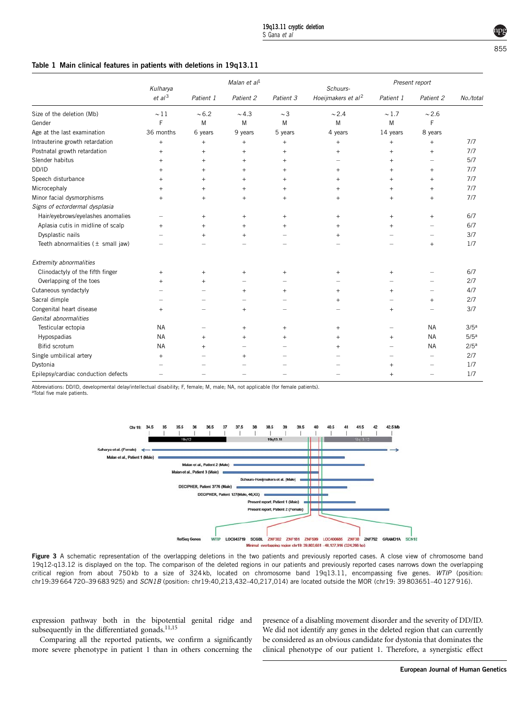### <span id="page-3-0"></span>Table 1 Main clinical features in patients with deletions in 19q13.11

|                                                       | Kulharya<br>et al <sup>3</sup> | Malan et $al1$ |           |                | Schuurs-                       | Present report |                          |                  |
|-------------------------------------------------------|--------------------------------|----------------|-----------|----------------|--------------------------------|----------------|--------------------------|------------------|
|                                                       |                                | Patient 1      | Patient 2 | Patient 3      | Hoeijmakers et al <sup>2</sup> | Patient 1      | Patient 2                | No./total        |
| Size of the deletion (Mb)                             | $\sim$ 11                      | ~1.6.2         | ~1.3      | $\sim$ 3       | $\sim$ 2.4                     | $\sim$ 1.7     | $\sim$ 2.6               |                  |
| Gender                                                | F                              | M              | M         | M              | M                              | M              | F                        |                  |
| Age at the last examination                           | 36 months                      | 6 years        | 9 years   | 5 years        | 4 years                        | 14 years       | 8 years                  |                  |
| Intrauterine growth retardation                       | $^{+}$                         | $+$            | $+$       | $+$            | $^{+}$                         | $^{+}$         | $+$                      | 7/7              |
| Postnatal growth retardation                          | $^{+}$                         | $+$            | $\ddot{}$ | $\overline{+}$ | $\ddot{}$                      | $^{+}$         | $\ddot{}$                | 7/7              |
| Slender habitus                                       | $^{+}$                         | $+$            | $+$       | $+$            |                                | $^{+}$         | $\overline{\phantom{0}}$ | 5/7              |
| DD/ID                                                 | $+$                            | $+$            | $+$       | $+$            | $\ddot{}$                      | $^{+}$         | $+$                      | 7/7              |
| Speech disturbance                                    | $^{+}$                         | $+$            | $+$       | $\ddot{}$      | $^{+}$                         | $^{+}$         | $+$                      | 7/7              |
| Microcephaly                                          | $^{+}$                         | $\ddot{}$      | $^{+}$    | $\ddot{}$      | $\ddot{}$                      | $^{+}$         | $^{+}$                   | 7/7              |
| Minor facial dysmorphisms                             | $^{+}$                         | $+$            | $+$       | $+$            | $\ddot{}$                      | $^{+}$         | $+$                      | 7/7              |
| Signs of ectordermal dysplasia                        |                                |                |           |                |                                |                |                          |                  |
| Hair/eyebrows/eyelashes anomalies                     | $\overline{\phantom{0}}$       | $^{+}$         | $\ddot{}$ | $+$            | $\ddot{}$                      | $^{+}$         | $^{+}$                   | 6/7              |
| Aplasia cutis in midline of scalp                     | $^{+}$                         | $\ddot{}$      | $+$       | $^{+}$         |                                | $^{+}$         | -                        | 6/7              |
| Dysplastic nails                                      |                                | $^{+}$         | $^{+}$    |                | $\ddot{}$                      |                |                          | 3/7              |
| Teeth abnormalities $(\pm \text{ small } \text{jaw})$ |                                |                |           |                |                                |                | $^{+}$                   | 1/7              |
| <b>Extremity abnormalities</b>                        |                                |                |           |                |                                |                |                          |                  |
| Clinodactyly of the fifth finger                      | $^{+}$                         | $^{+}$         | $^{+}$    | $+$            | $\ddot{}$                      | $^{+}$         |                          | 6/7              |
| Overlapping of the toes                               | $+$                            | $+$            |           |                |                                |                |                          | 2/7              |
| Cutaneous syndactyly                                  |                                |                | $\ddot{}$ | $\overline{+}$ | $\ddot{}$                      | $^{+}$         |                          | 4/7              |
| Sacral dimple                                         |                                |                |           |                | $\ddot{}$                      |                | $^{+}$                   | 2/7              |
| Congenital heart disease                              | $^{+}$                         |                | $+$       |                |                                | $+$            |                          | 3/7              |
| Genital abnormalities                                 |                                |                |           |                |                                |                |                          |                  |
| Testicular ectopia                                    | <b>NA</b>                      |                | $+$       | $\overline{+}$ | $+$                            |                | <b>NA</b>                | 3/5 <sup>a</sup> |
| Hypospadias                                           | <b>NA</b>                      | $+$            | $+$       | $+$            | $\pm$                          | $^{+}$         | <b>NA</b>                | 5/5 <sup>a</sup> |
| Bifid scrotum                                         | <b>NA</b>                      | $\ddot{}$      | ÷,        |                | $^{+}$                         |                | <b>NA</b>                | 2/5 <sup>a</sup> |
| Single umbilical artery                               | $^{+}$                         |                | $+$       |                |                                |                |                          | 2/7              |
| Dystonia                                              |                                |                |           |                |                                | $+$            |                          | 1/7              |
| Epilepsy/cardiac conduction defects                   |                                |                |           |                |                                | $^{+}$         |                          | 1/7              |

Abbreviations: DD/ID, developmental delay/intellectual disability; F, female; M, male; NA, not applicable (for female patients). aTotal five male patients.



Figure 3 A schematic representation of the overlapping deletions in the two patients and previously reported cases. A close view of chromosome band 19q12-q13.12 is displayed on the top. The comparison of the deleted regions in our patients and previously reported cases narrows down the overlapping critical region from about 750kb to a size of 324kb, located on chromosome band 19q13.11, encompassing five genes. WTIP (position: chr19:39 664720–39 683 925) and SCN1B (position: chr19:40,213,432–40,217,014) are located outside the MOR (chr19: 39 803651–40 127916).

expression pathway both in the bipotential genital ridge and subsequently in the differentiated gonads.<sup>[11,15](#page-4-0)</sup>

Comparing all the reported patients, we confirm a significantly more severe phenotype in patient 1 than in others concerning the presence of a disabling movement disorder and the severity of DD/ID. We did not identify any genes in the deleted region that can currently be considered as an obvious candidate for dystonia that dominates the clinical phenotype of our patient 1. Therefore, a synergistic effect

855